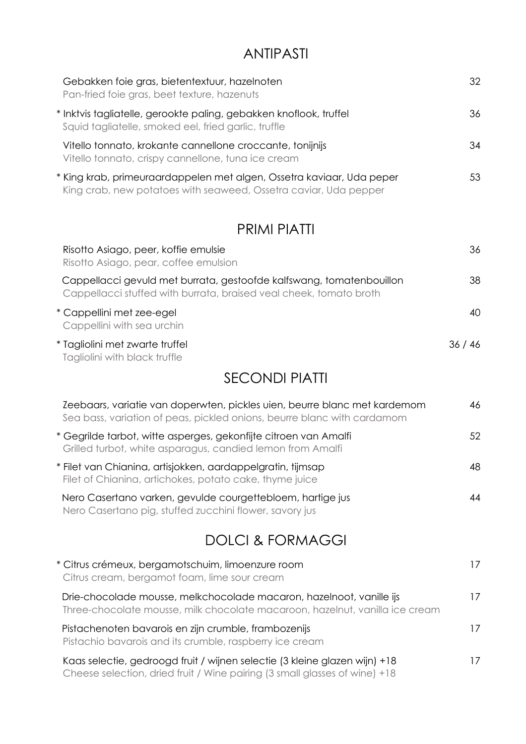# ANTIPASTI

| Gebakken foie gras, bietentextuur, hazelnoten<br>Pan-fried foie gras, beet texture, hazenuts                                              | 32  |
|-------------------------------------------------------------------------------------------------------------------------------------------|-----|
| * Inktvis tagliatelle, gerookte paling, gebakken knoflook, truffel<br>Squid tagliatelle, smoked eel, fried garlic, truffle                | 36  |
| Vitello tonnato, krokante cannellone croccante, tonijnijs<br>Vitello tonnato, crispy cannellone, tuna ice cream                           | 34  |
| * King krab, primeuraardappelen met algen, Ossetra kaviaar, Uda peper<br>King crab, new potatoes with seaweed, Ossetra caviar, Uda pepper | 53  |
| <b>PRIMI PIATTI</b>                                                                                                                       |     |
| Risatta Asiago, neer, kaffie emulsie                                                                                                      | 36. |

| MSUNU / WOQU, DUUI, NUNIU UNIUMU<br>Risotto Asiago, pear, coffee emulsion                                                                  | ື     |
|--------------------------------------------------------------------------------------------------------------------------------------------|-------|
| Cappellacci gevuld met burrata, gestoofde kalfswang, tomatenbouillon<br>Cappellacci stuffed with burrata, braised veal cheek, tomato broth | 38    |
| * Cappellini met zee-egel<br>Cappellini with sea urchin                                                                                    | 40    |
| * Tagliolini met zwarte truffel<br>Tagliolini with black truffle                                                                           | 36/46 |

SECONDI PIATTI

| Zeebaars, variatie van doperwten, pickles uien, beurre blanc met kardemom<br>Sea bass, variation of peas, pickled onions, beurre blanc with cardamom     | 46 |
|----------------------------------------------------------------------------------------------------------------------------------------------------------|----|
| * Gegrilde tarbot, witte asperges, gekonfijte citroen van Amalfi<br>Grilled turbot, white asparagus, candied lemon from Amalfi                           | 52 |
| * Filet van Chianina, artisjokken, aardappelgratin, tijmsap<br>Filet of Chianina, artichokes, potato cake, thyme juice                                   | 48 |
| Nero Casertano varken, gevulde courgettebloem, hartige jus<br>Nero Casertano pig, stuffed zucchini flower, savory jus                                    | 44 |
| <b>DOLCI &amp; FORMAGGI</b>                                                                                                                              |    |
| * Citrus crémeux, bergamotschuim, limoenzure room<br>Citrus cream, bergamot foam, lime sour cream                                                        | 17 |
| Drie-chocolade mousse, melkchocolade macaron, hazelnoot, vanille ijs<br>Three-chocolate mousse, milk chocolate macaroon, hazelnut, vanilla ice cream     | 17 |
| Pistachenoten bavarois en zijn crumble, frambozenijs<br>Pistachio bavarois and its crumble, raspberry ice cream                                          | 17 |
| Kaas selectie, gedroogd fruit / wijnen selectie (3 kleine glazen wijn) +18<br>Cheese selection, dried fruit / Wine pairing (3 small glasses of wine) +18 | 17 |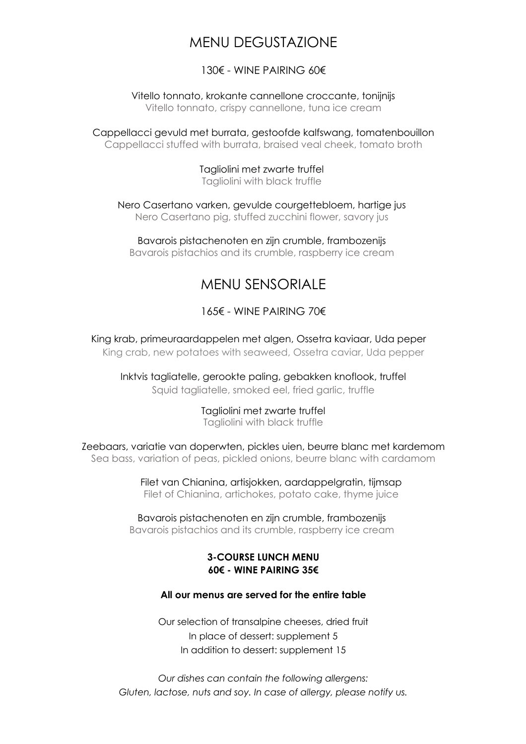# MENU DEGUSTAZIONE

### 130€ - WINF PAIRING 60€

Vitello tonnato, krokante cannellone croccante, tonijnijs Vitello tonnato, crispy cannellone, tuna ice cream

Cappellacci gevuld met burrata, gestoofde kalfswang, tomatenbouillon Cappellacci stuffed with burrata, braised veal cheek, tomato broth

> Tagliolini met zwarte truffel Tagliolini with black truffle

Nero Casertano varken, gevulde courgettebloem, hartige jus Nero Casertano pig, stuffed zucchini flower, savory jus

Bavarois pistachenoten en zijn crumble, frambozenijs Bavarois pistachios and its crumble, raspberry ice cream

## MENU SENSORIALE

### 165€ - WINE PAIRING 70€

King krab, primeuraardappelen met algen, Ossetra kaviaar, Uda peper King crab, new potatoes with seaweed, Ossetra caviar, Uda pepper

Inktvis tagliatelle, gerookte paling, gebakken knoflook, truffel Squid tagliatelle, smoked eel, fried garlic, truffle

> Tagliolini met zwarte truffel Tagliolini with black truffle

Zeebaars, variatie van doperwten, pickles uien, beurre blanc met kardemom Sea bass, variation of peas, pickled onions, beurre blanc with cardamom

> Filet van Chianina, artisjokken, aardappelgratin, tijmsap Filet of Chianina, artichokes, potato cake, thyme juice

Bavarois pistachenoten en zijn crumble, frambozenijs Bavarois pistachios and its crumble, raspberry ice cream

#### **3-COURSE LUNCH MENU 60€ - WINE PAIRING 35€**

#### **All our menus are served for the entire table**

Our selection of transalpine cheeses, dried fruit In place of dessert: supplement 5 In addition to dessert: supplement 15

*Our dishes can contain the following allergens: Gluten, lactose, nuts and soy. In case of allergy, please notify us.*